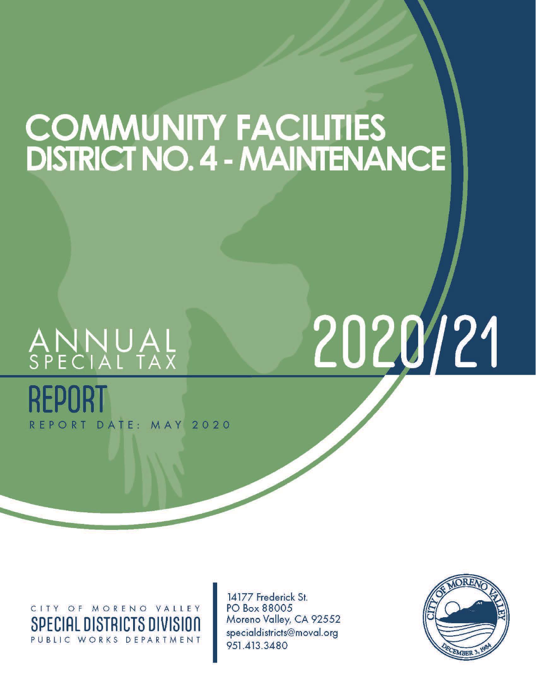## **COMMUNITY FACILITIES<br>DISTRICT NO. 4 - MAINTENANCE**

# ANNUAL<br>SPECIAL TAX

REPORT DATE: MAY 2020

2020/21

CITY OF MORENO VALLEY **SPECIAL DISTRICTS DIVISION** PUBLIC WORKS DEPARTMENT

14177 Frederick St. PO Box 88005 Moreno Valley, CA 92552 specialdistricts@moval.org 951.413.3480

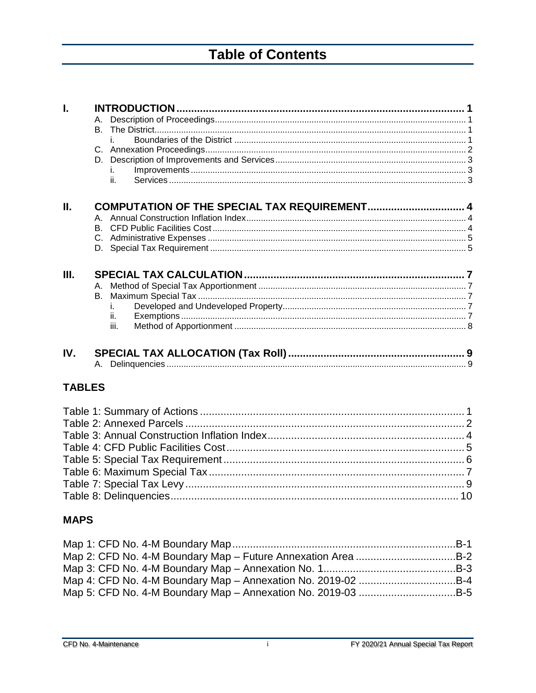## **Table of Contents**

| Ī.            | В. | i.<br>İ.<br>ii.                              |  |
|---------------|----|----------------------------------------------|--|
| ΙΙ.           |    | COMPUTATION OF THE SPECIAL TAX REQUIREMENT 4 |  |
| III.          | В. | i.<br>ii.<br>iii.                            |  |
| IV.           |    |                                              |  |
| <b>TABLES</b> |    |                                              |  |
|               |    |                                              |  |
| <b>MAPS</b>   |    |                                              |  |
|               |    | Map 1: CFD No. 4-M Boundary Map.<br>.B-1     |  |

| Map 2: CFD No. 4-M Boundary Map - Future Annexation Area B-2 |  |
|--------------------------------------------------------------|--|
|                                                              |  |
| Map 4: CFD No. 4-M Boundary Map - Annexation No. 2019-02 B-4 |  |
| Map 5: CFD No. 4-M Boundary Map – Annexation No. 2019-03 B-5 |  |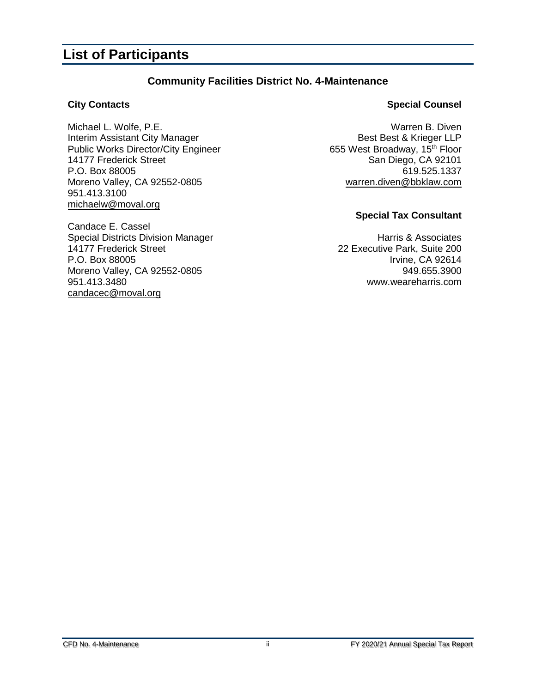### **List of Participants**

### **Community Facilities District No. 4-Maintenance**

Michael L. Wolfe, P.E.<br>
Interim Assistant City Manager<br>
Pest Best & Krieger LLP Interim Assistant City Manager Best Best & Krieger LLP<br>Public Works Director/City Engineer 655 West Broadway, 15<sup>th</sup> Floor Public Works Director/City Engineer<br>14177 Frederick Street P.O. Box 88005 619.525.1337 Moreno Valley, CA 92552-0805 [warren.diven@bbklaw.com](mailto:warren.diven@bbklaw.com) 951.413.3100 [michaelw@moval.org](mailto:richardt@moval.org)

Candace E. Cassel Special Districts Division Manager<br>14177 Frederick Street 200 14177 Frederick Street 200 and 22 Executive Park, Suite 200<br>P.O. Box 88005 20 and 22 Executive Park, Suite 200 Moreno Valley, CA 92552-0805 949.655.3900 951.413.3480 www.weareharris.com [candacec@moval.org](mailto:candacec@moval.org)

### **City Contacts Special Counsel**

San Diego, CA 92101

### **Special Tax Consultant**

Irvine, CA 92614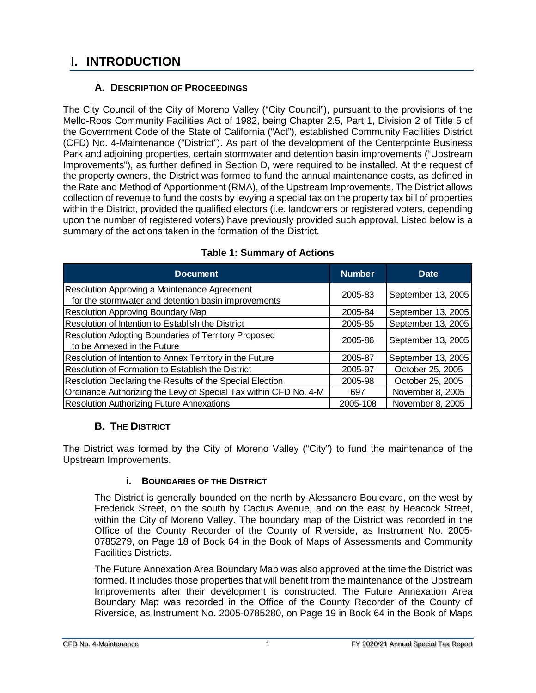### <span id="page-3-0"></span>**I. INTRODUCTION**

### **A. DESCRIPTION OF PROCEEDINGS**

<span id="page-3-1"></span>The City Council of the City of Moreno Valley ("City Council"), pursuant to the provisions of the Mello-Roos Community Facilities Act of 1982, being Chapter 2.5, Part 1, Division 2 of Title 5 of the Government Code of the State of California ("Act"), established Community Facilities District (CFD) No. 4-Maintenance ("District"). As part of the development of the Centerpointe Business Park and adjoining properties, certain stormwater and detention basin improvements ("Upstream Improvements"), as further defined in Section D, were required to be installed. At the request of the property owners, the District was formed to fund the annual maintenance costs, as defined in the Rate and Method of Apportionment (RMA), of the Upstream Improvements. The District allows collection of revenue to fund the costs by levying a special tax on the property tax bill of properties within the District, provided the qualified electors (i.e. landowners or registered voters, depending upon the number of registered voters) have previously provided such approval. Listed below is a summary of the actions taken in the formation of the District.

<span id="page-3-4"></span>

| <b>Document</b>                                                                                     | <b>Number</b> | <b>Date</b>        |
|-----------------------------------------------------------------------------------------------------|---------------|--------------------|
| Resolution Approving a Maintenance Agreement<br>for the stormwater and detention basin improvements | 2005-83       | September 13, 2005 |
| <b>Resolution Approving Boundary Map</b>                                                            | 2005-84       | September 13, 2005 |
| Resolution of Intention to Establish the District                                                   | 2005-85       | September 13, 2005 |
| <b>Resolution Adopting Boundaries of Territory Proposed</b><br>to be Annexed in the Future          | 2005-86       | September 13, 2005 |
| Resolution of Intention to Annex Territory in the Future                                            | 2005-87       | September 13, 2005 |
| Resolution of Formation to Establish the District                                                   | 2005-97       | October 25, 2005   |
| Resolution Declaring the Results of the Special Election                                            | 2005-98       | October 25, 2005   |
| Ordinance Authorizing the Levy of Special Tax within CFD No. 4-M                                    | 697           | November 8, 2005   |
| <b>Resolution Authorizing Future Annexations</b>                                                    | 2005-108      | November 8, 2005   |

### **Table 1: Summary of Actions**

### **B. THE DISTRICT**

<span id="page-3-3"></span><span id="page-3-2"></span>The District was formed by the City of Moreno Valley ("City") to fund the maintenance of the Upstream Improvements.

### **i. BOUNDARIES OF THE DISTRICT**

The District is generally bounded on the north by Alessandro Boulevard, on the west by Frederick Street, on the south by Cactus Avenue, and on the east by Heacock Street, within the City of Moreno Valley. The boundary map of the District was recorded in the Office of the County Recorder of the County of Riverside, as Instrument No. 2005- 0785279, on Page 18 of Book 64 in the Book of Maps of Assessments and Community Facilities Districts.

The Future Annexation Area Boundary Map was also approved at the time the District was formed. It includes those properties that will benefit from the maintenance of the Upstream Improvements after their development is constructed. The Future Annexation Area Boundary Map was recorded in the Office of the County Recorder of the County of Riverside, as Instrument No. 2005-0785280, on Page 19 in Book 64 in the Book of Maps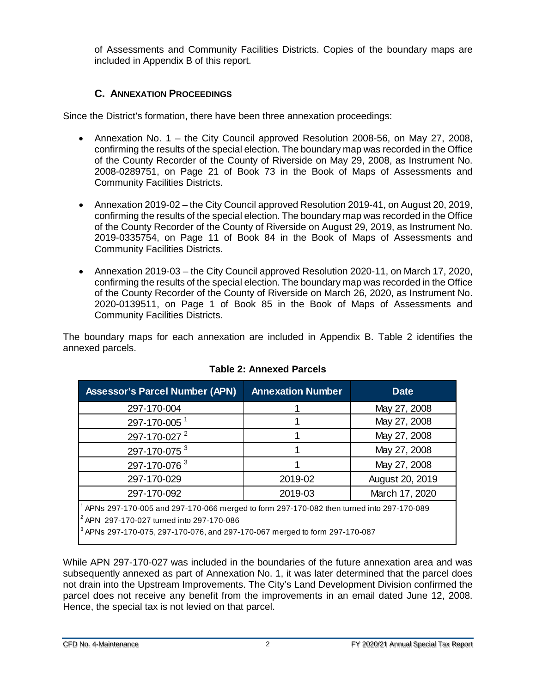of Assessments and Community Facilities Districts. Copies of the boundary maps are included in Appendix B of this report.

### **C. ANNEXATION PROCEEDINGS**

<span id="page-4-0"></span>Since the District's formation, there have been three annexation proceedings:

- Annexation No. 1 the City Council approved Resolution 2008-56, on May 27, 2008, confirming the results of the special election. The boundary map was recorded in the Office of the County Recorder of the County of Riverside on May 29, 2008, as Instrument No. 2008-0289751, on Page 21 of Book 73 in the Book of Maps of Assessments and Community Facilities Districts.
- Annexation 2019-02 the City Council approved Resolution 2019-41, on August 20, 2019, confirming the results of the special election. The boundary map was recorded in the Office of the County Recorder of the County of Riverside on August 29, 2019, as Instrument No. 2019-0335754, on Page 11 of Book 84 in the Book of Maps of Assessments and Community Facilities Districts.
- Annexation 2019-03 the City Council approved Resolution 2020-11, on March 17, 2020, confirming the results of the special election. The boundary map was recorded in the Office of the County Recorder of the County of Riverside on March 26, 2020, as Instrument No. 2020-0139511, on Page 1 of Book 85 in the Book of Maps of Assessments and Community Facilities Districts.

The boundary maps for each annexation are included in Appendix B. Table 2 identifies the annexed parcels.

<span id="page-4-1"></span>

| <b>Assessor's Parcel Number (APN)</b>                                                               | <b>Annexation Number</b> | <b>Date</b>     |  |  |  |  |  |
|-----------------------------------------------------------------------------------------------------|--------------------------|-----------------|--|--|--|--|--|
| 297-170-004                                                                                         |                          | May 27, 2008    |  |  |  |  |  |
| 297-170-005 <sup>1</sup>                                                                            |                          | May 27, 2008    |  |  |  |  |  |
| 297-170-027 <sup>2</sup>                                                                            |                          | May 27, 2008    |  |  |  |  |  |
| 297-170-075 <sup>3</sup>                                                                            |                          | May 27, 2008    |  |  |  |  |  |
| 297-170-076 3                                                                                       |                          | May 27, 2008    |  |  |  |  |  |
| 297-170-029                                                                                         | 2019-02                  | August 20, 2019 |  |  |  |  |  |
| 297-170-092                                                                                         | 2019-03                  | March 17, 2020  |  |  |  |  |  |
| $^{\rm 1}$ APNs 297-170-005 and 297-170-066 merged to form 297-170-082 then turned into 297-170-089 |                          |                 |  |  |  |  |  |
| <sup>2</sup> APN 297-170-027 turned into 297-170-086                                                |                          |                 |  |  |  |  |  |
| <sup>3</sup> APNs 297-170-075, 297-170-076, and 297-170-067 merged to form 297-170-087              |                          |                 |  |  |  |  |  |

### **Table 2: Annexed Parcels**

While APN 297-170-027 was included in the boundaries of the future annexation area and was subsequently annexed as part of Annexation No. 1, it was later determined that the parcel does not drain into the Upstream Improvements. The City's Land Development Division confirmed the parcel does not receive any benefit from the improvements in an email dated June 12, 2008. Hence, the special tax is not levied on that parcel.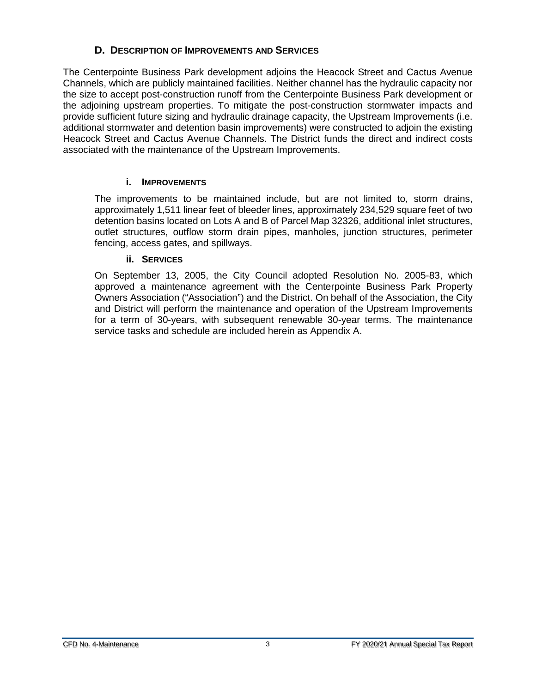### **D. DESCRIPTION OF IMPROVEMENTS AND SERVICES**

<span id="page-5-0"></span>The Centerpointe Business Park development adjoins the Heacock Street and Cactus Avenue Channels, which are publicly maintained facilities. Neither channel has the hydraulic capacity nor the size to accept post-construction runoff from the Centerpointe Business Park development or the adjoining upstream properties. To mitigate the post-construction stormwater impacts and provide sufficient future sizing and hydraulic drainage capacity, the Upstream Improvements (i.e. additional stormwater and detention basin improvements) were constructed to adjoin the existing Heacock Street and Cactus Avenue Channels. The District funds the direct and indirect costs associated with the maintenance of the Upstream Improvements.

### **i. IMPROVEMENTS**

<span id="page-5-1"></span>The improvements to be maintained include, but are not limited to, storm drains, approximately 1,511 linear feet of bleeder lines, approximately 234,529 square feet of two detention basins located on Lots A and B of Parcel Map 32326, additional inlet structures, outlet structures, outflow storm drain pipes, manholes, junction structures, perimeter fencing, access gates, and spillways.

### **ii. SERVICES**

<span id="page-5-2"></span>On September 13, 2005, the City Council adopted Resolution No. 2005-83, which approved a maintenance agreement with the Centerpointe Business Park Property Owners Association ("Association") and the District. On behalf of the Association, the City and District will perform the maintenance and operation of the Upstream Improvements for a term of 30-years, with subsequent renewable 30-year terms. The maintenance service tasks and schedule are included herein as Appendix A.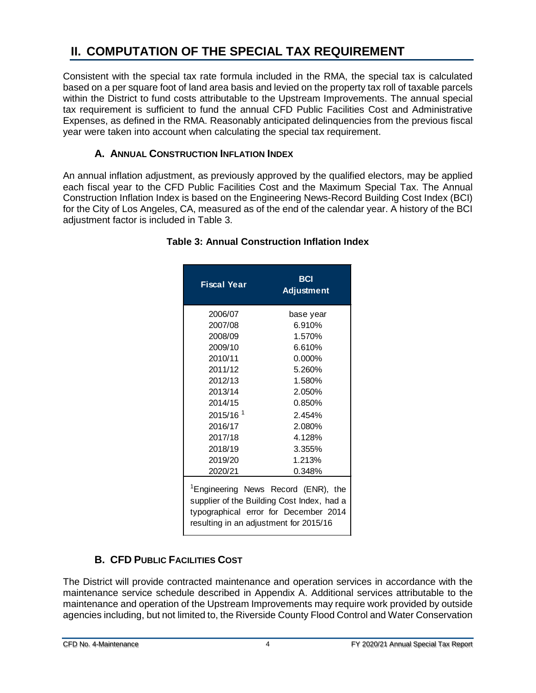### <span id="page-6-0"></span>**II. COMPUTATION OF THE SPECIAL TAX REQUIREMENT**

Consistent with the special tax rate formula included in the RMA, the special tax is calculated based on a per square foot of land area basis and levied on the property tax roll of taxable parcels within the District to fund costs attributable to the Upstream Improvements. The annual special tax requirement is sufficient to fund the annual CFD Public Facilities Cost and Administrative Expenses, as defined in the RMA. Reasonably anticipated delinquencies from the previous fiscal year were taken into account when calculating the special tax requirement.

### **A. ANNUAL CONSTRUCTION INFLATION INDEX**

<span id="page-6-3"></span><span id="page-6-1"></span>An annual inflation adjustment, as previously approved by the qualified electors, may be applied each fiscal year to the CFD Public Facilities Cost and the Maximum Special Tax. The Annual Construction Inflation Index is based on the Engineering News-Record Building Cost Index (BCI) for the City of Los Angeles, CA, measured as of the end of the calendar year. A history of the BCI adjustment factor is included in Table 3.

| Fiscal Year                                                                                                                                                                      | <b>BCI</b><br><b>Adjustment</b> |  |  |  |  |  |
|----------------------------------------------------------------------------------------------------------------------------------------------------------------------------------|---------------------------------|--|--|--|--|--|
| 2006/07                                                                                                                                                                          | base year                       |  |  |  |  |  |
| 2007/08                                                                                                                                                                          | 6.910%                          |  |  |  |  |  |
| 2008/09                                                                                                                                                                          | 1.570%                          |  |  |  |  |  |
| 2009/10                                                                                                                                                                          | 6.610%                          |  |  |  |  |  |
| 2010/11                                                                                                                                                                          | $0.000\%$                       |  |  |  |  |  |
| 2011/12                                                                                                                                                                          | 5.260%                          |  |  |  |  |  |
| 2012/13                                                                                                                                                                          | 1.580%                          |  |  |  |  |  |
| 2013/14                                                                                                                                                                          | 2.050%                          |  |  |  |  |  |
| 2014/15                                                                                                                                                                          | 0.850%                          |  |  |  |  |  |
| 2015/16 <sup>1</sup>                                                                                                                                                             | 2.454%                          |  |  |  |  |  |
| 2016/17                                                                                                                                                                          | 2.080%                          |  |  |  |  |  |
| 2017/18                                                                                                                                                                          | 4.128%                          |  |  |  |  |  |
| 2018/19                                                                                                                                                                          | 3.355%                          |  |  |  |  |  |
| 2019/20                                                                                                                                                                          | 1.213%                          |  |  |  |  |  |
| 2020/21                                                                                                                                                                          | 0.348%                          |  |  |  |  |  |
| <sup>1</sup> Engineering News Record (ENR), the<br>supplier of the Building Cost Index, had a<br>typographical error for December 2014<br>resulting in an adjustment for 2015/16 |                                 |  |  |  |  |  |

### **Table 3: Annual Construction Inflation Index**

### **B. CFD PUBLIC FACILITIES COST**

<span id="page-6-2"></span>The District will provide contracted maintenance and operation services in accordance with the maintenance service schedule described in Appendix A. Additional services attributable to the maintenance and operation of the Upstream Improvements may require work provided by outside agencies including, but not limited to, the Riverside County Flood Control and Water Conservation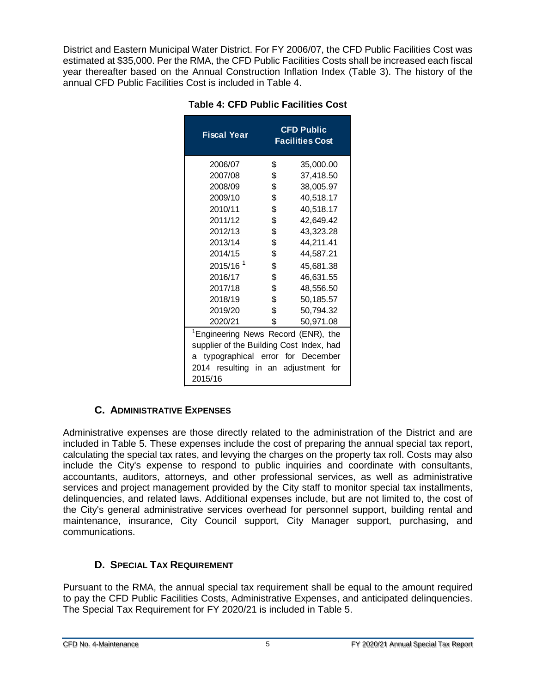<span id="page-7-2"></span>District and Eastern Municipal Water District. For FY 2006/07, the CFD Public Facilities Cost was estimated at \$35,000. Per the RMA, the CFD Public Facilities Costs shall be increased each fiscal year thereafter based on the Annual Construction Inflation Index (Table 3). The history of the annual CFD Public Facilities Cost is included in Table 4.

| <b>Fiscal Year</b>                              | <b>CFD Public</b><br><b>Facilities Cost</b> |  |  |  |  |
|-------------------------------------------------|---------------------------------------------|--|--|--|--|
| 2006/07                                         | \$<br>35,000.00                             |  |  |  |  |
| 2007/08                                         | \$<br>37,418.50                             |  |  |  |  |
| 2008/09                                         | \$<br>38,005.97                             |  |  |  |  |
| 2009/10                                         | \$<br>40,518.17                             |  |  |  |  |
| 2010/11                                         | \$<br>40,518.17                             |  |  |  |  |
| 2011/12                                         | \$<br>42,649.42                             |  |  |  |  |
| 2012/13                                         | \$<br>43,323.28                             |  |  |  |  |
| 2013/14                                         | \$<br>44,211.41                             |  |  |  |  |
| 2014/15                                         | \$<br>44,587.21                             |  |  |  |  |
| 2015/16 <sup>1</sup>                            | \$<br>45,681.38                             |  |  |  |  |
| 2016/17                                         | \$<br>46,631.55                             |  |  |  |  |
| 2017/18                                         | \$<br>48,556.50                             |  |  |  |  |
| 2018/19                                         | \$<br>50,185.57                             |  |  |  |  |
| 2019/20                                         | \$<br>50,794.32                             |  |  |  |  |
| 2020/21                                         | \$<br>50,971.08                             |  |  |  |  |
| <sup>1</sup> Engineering News Record (ENR), the |                                             |  |  |  |  |
| supplier of the Building Cost Index, had        |                                             |  |  |  |  |
| typographical error for December<br>a           |                                             |  |  |  |  |
| 2014 resulting in an adjustment for             |                                             |  |  |  |  |
| 2015/16                                         |                                             |  |  |  |  |

### **C. ADMINISTRATIVE EXPENSES**

<span id="page-7-0"></span>Administrative expenses are those directly related to the administration of the District and are included in Table 5. These expenses include the cost of preparing the annual special tax report, calculating the special tax rates, and levying the charges on the property tax roll. Costs may also include the City's expense to respond to public inquiries and coordinate with consultants, accountants, auditors, attorneys, and other professional services, as well as administrative services and project management provided by the City staff to monitor special tax installments, delinquencies, and related laws. Additional expenses include, but are not limited to, the cost of the City's general administrative services overhead for personnel support, building rental and maintenance, insurance, City Council support, City Manager support, purchasing, and communications.

### **D. SPECIAL TAX REQUIREMENT**

<span id="page-7-1"></span>Pursuant to the RMA, the annual special tax requirement shall be equal to the amount required to pay the CFD Public Facilities Costs, Administrative Expenses, and anticipated delinquencies. The Special Tax Requirement for FY 2020/21 is included in Table 5.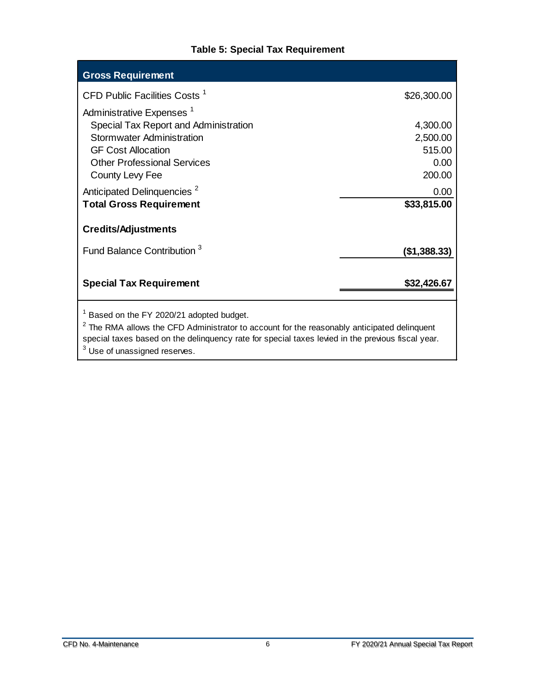### **Table 5: Special Tax Requirement**

<span id="page-8-0"></span>

| <b>Gross Requirement</b>                 |              |
|------------------------------------------|--------------|
| CFD Public Facilities Costs <sup>1</sup> | \$26,300.00  |
| Administrative Expenses <sup>1</sup>     |              |
| Special Tax Report and Administration    | 4,300.00     |
| Stormwater Administration                | 2,500.00     |
| <b>GF Cost Allocation</b>                | 515.00       |
| <b>Other Professional Services</b>       | 0.00         |
| County Levy Fee                          | 200.00       |
| Anticipated Delinquencies <sup>2</sup>   | 0.00         |
| <b>Total Gross Requirement</b>           | \$33,815.00  |
| <b>Credits/Adjustments</b>               |              |
| Fund Balance Contribution 3              | (\$1,388.33) |
| <b>Special Tax Requirement</b>           | \$32,426.67  |
| Based on the FY 2020/21 adopted budget.  |              |

 $2$  The RMA allows the CFD Administrator to account for the reasonably anticipated delinquent special taxes based on the delinquency rate for special taxes levied in the previous fiscal year.  $3$  Use of unassigned reserves.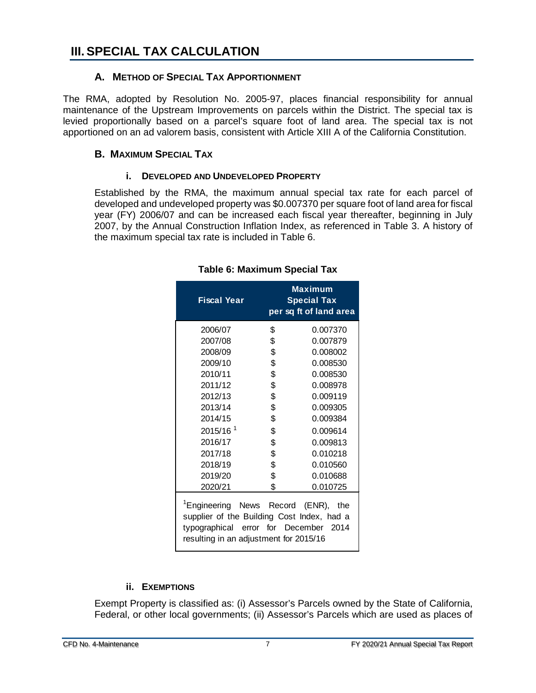### <span id="page-9-1"></span><span id="page-9-0"></span>**A. METHOD OF SPECIAL TAX APPORTIONMENT**

The RMA, adopted by Resolution No. 2005-97, places financial responsibility for annual maintenance of the Upstream Improvements on parcels within the District. The special tax is levied proportionally based on a parcel's square foot of land area. The special tax is not apportioned on an ad valorem basis, consistent with Article XIII A of the California Constitution.

### <span id="page-9-2"></span>**B. MAXIMUM SPECIAL TAX**

### **i. DEVELOPED AND UNDEVELOPED PROPERTY**

<span id="page-9-5"></span><span id="page-9-3"></span>Established by the RMA, the maximum annual special tax rate for each parcel of developed and undeveloped property was \$0.007370 per square foot of land area for fiscal year (FY) 2006/07 and can be increased each fiscal year thereafter, beginning in July 2007, by the Annual Construction Inflation Index, as referenced in Table 3. A history of the maximum special tax rate is included in Table 6.

| <b>Fiscal Year</b>                                                                                                                                                               | <b>Maximum</b><br><b>Special Tax</b><br>per sq ft of land area |
|----------------------------------------------------------------------------------------------------------------------------------------------------------------------------------|----------------------------------------------------------------|
| 2006/07                                                                                                                                                                          | \$<br>0.007370                                                 |
| 2007/08                                                                                                                                                                          | \$<br>0.007879                                                 |
| 2008/09                                                                                                                                                                          | \$<br>0.008002                                                 |
| 2009/10                                                                                                                                                                          | \$<br>0.008530                                                 |
| 2010/11                                                                                                                                                                          | \$<br>0.008530                                                 |
| 2011/12                                                                                                                                                                          | \$<br>0.008978                                                 |
| 2012/13                                                                                                                                                                          | \$<br>0.009119                                                 |
| 2013/14                                                                                                                                                                          | \$<br>0.009305                                                 |
| 2014/15                                                                                                                                                                          | \$<br>0.009384                                                 |
| 2015/16 <sup>1</sup>                                                                                                                                                             | \$<br>0.009614                                                 |
| 2016/17                                                                                                                                                                          | \$<br>0.009813                                                 |
| 2017/18                                                                                                                                                                          | \$<br>0.010218                                                 |
| 2018/19                                                                                                                                                                          | \$<br>0.010560                                                 |
| 2019/20                                                                                                                                                                          | \$<br>0.010688                                                 |
| 2020/21                                                                                                                                                                          | \$<br>0.010725                                                 |
| <sup>1</sup> Engineering News Record (ENR), the<br>supplier of the Building Cost Index, had a<br>typographical error for December 2014<br>resulting in an adjustment for 2015/16 |                                                                |

### **Table 6: Maximum Special Tax**

### **ii. EXEMPTIONS**

<span id="page-9-4"></span>Exempt Property is classified as: (i) Assessor's Parcels owned by the State of California, Federal, or other local governments; (ii) Assessor's Parcels which are used as places of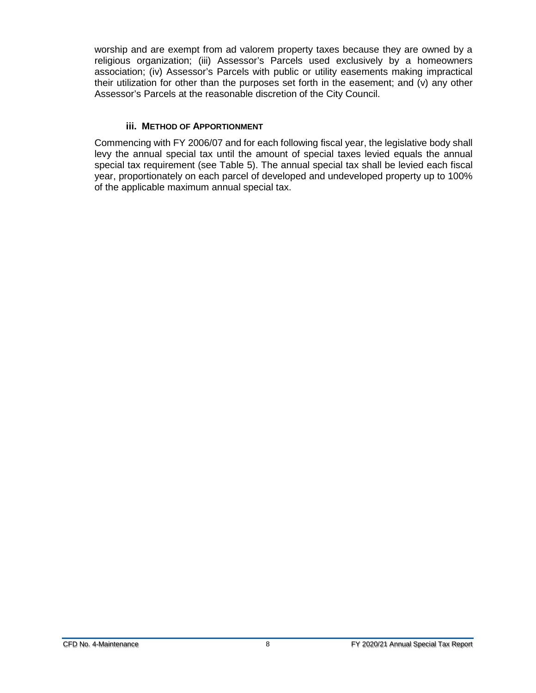worship and are exempt from ad valorem property taxes because they are owned by a religious organization; (iii) Assessor's Parcels used exclusively by a homeowners association; (iv) Assessor's Parcels with public or utility easements making impractical their utilization for other than the purposes set forth in the easement; and (v) any other Assessor's Parcels at the reasonable discretion of the City Council.

### **iii. METHOD OF APPORTIONMENT**

<span id="page-10-0"></span>Commencing with FY 2006/07 and for each following fiscal year, the legislative body shall levy the annual special tax until the amount of special taxes levied equals the annual special tax requirement (see Table 5). The annual special tax shall be levied each fiscal year, proportionately on each parcel of developed and undeveloped property up to 100% of the applicable maximum annual special tax.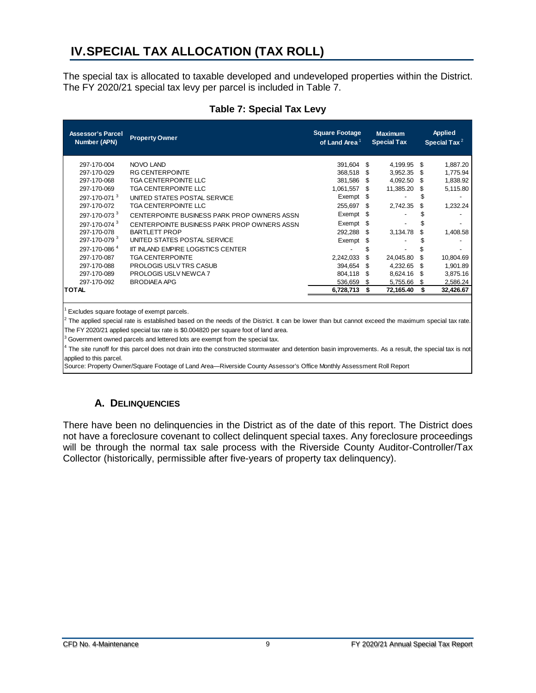### <span id="page-11-0"></span>**IV.SPECIAL TAX ALLOCATION (TAX ROLL)**

The special tax is allocated to taxable developed and undeveloped properties within the District. The FY 2020/21 special tax levy per parcel is included in Table 7.

<span id="page-11-2"></span>

| <b>Assessor's Parcel</b><br>Number (APN) | <b>Property Owner</b>                       | <b>Square Footage</b><br>of Land Area <sup>1</sup> |      | <b>Maximum</b><br><b>Special Tax</b> |     | <b>Applied</b><br>Special Tax $^2$ |
|------------------------------------------|---------------------------------------------|----------------------------------------------------|------|--------------------------------------|-----|------------------------------------|
| 297-170-004                              | <b>NOVO LAND</b>                            | 391,604                                            | \$   | 4,199.95                             | S   | 1,887.20                           |
| 297-170-029                              | <b>RG CENTERPOINTE</b>                      | 368,518                                            | \$   | 3,952.35                             | S   | 1,775.94                           |
| 297-170-068                              | <b>TGA CENTERPOINTE LLC</b>                 | 381,586                                            | \$.  | 4,092.50                             | \$. | 1,838.92                           |
| 297-170-069                              | TGA CENTERPOINTE LLC                        | 1,061,557                                          | \$   | 11,385.20                            | S   | 5,115.80                           |
| 297-170-071 <sup>3</sup>                 | UNITED STATES POSTAL SERVICE                | Exempt                                             | - \$ |                                      |     |                                    |
| 297-170-072                              | <b>TGA CENTERPOINTE LLC</b>                 | 255,697                                            | \$   | 2,742.35                             | S   | 1,232.24                           |
| 297-170-073 <sup>3</sup>                 | CENTERPOINTE BUSINESS PARK PROP OWNERS ASSN | Exempt                                             | S    |                                      |     |                                    |
| 297-170-074 <sup>3</sup>                 | CENTERPOINTE BUSINESS PARK PROP OWNERS ASSN | Exempt                                             | \$   |                                      |     |                                    |
| 297-170-078                              | <b>BARTLETT PROP</b>                        | 292,288                                            | \$   | 3,134.78                             | \$  | 1,408.58                           |
| 297-170-079 <sup>3</sup>                 | UNITED STATES POSTAL SERVICE                | Exempt                                             | S    |                                      |     |                                    |
| 297-170-086 <sup>4</sup>                 | <b>IIT INLAND EMPIRE LOGISTICS CENTER</b>   |                                                    | \$   |                                      |     |                                    |
| 297-170-087                              | <b>TGA CENTERPOINTE</b>                     | 2,242,033                                          | \$   | 24,045.80                            | \$  | 10,804.69                          |
| 297-170-088                              | <b>PROLOGIS USLV TRS CASUB</b>              | 394,654                                            | \$   | 4,232.65                             | S   | 1,901.89                           |
| 297-170-089                              | <b>PROLOGIS USLV NEWCA 7</b>                | 804,118                                            | \$   | 8,624.16                             | S   | 3,875.16                           |
| 297-170-092                              | <b>BRODIAEA APG</b>                         | 536,659                                            | \$   | 5,755.66                             | \$  | 2,586.24                           |
| <b>TOTAL</b>                             |                                             | 6,728,713                                          | \$   | 72,165.40                            | \$  | 32,426.67                          |
|                                          |                                             |                                                    |      |                                      |     |                                    |

### **Table 7: Special Tax Levy**

Excludes square footage of exempt parcels.

<sup>2</sup> The applied special rate is established based on the needs of the District. It can be lower than but cannot exceed the maximum special tax rate. The FY 2020/21 applied special tax rate is \$0.004820 per square foot of land area.

 $3$  Government owned parcels and lettered lots are exempt from the special tax.

The site runoff for this parcel does not drain into the constructed stormwater and detention basin improvements. As a result, the special tax is not applied to this parcel.

Source: Property Owner/Square Footage of Land Area—Riverside County Assessor's Office Monthly Assessment Roll Report

### **A. DELINQUENCIES**

<span id="page-11-1"></span>There have been no delinquencies in the District as of the date of this report. The District does not have a foreclosure covenant to collect delinquent special taxes. Any foreclosure proceedings will be through the normal tax sale process with the Riverside County Auditor-Controller/Tax Collector (historically, permissible after five-years of property tax delinquency).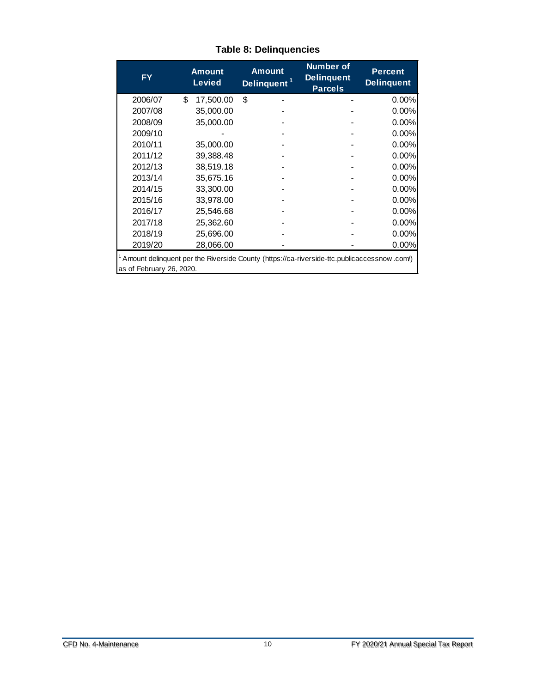<span id="page-12-0"></span>

| <b>FY</b>                                                                                                              |    | <b>Amount</b><br><b>Levied</b> | <b>Number of</b><br><b>Amount</b><br><b>Delinquent</b><br>Delinquent <sup>1</sup><br><b>Parcels</b> |  |  | <b>Percent</b><br><b>Delinquent</b> |  |  |
|------------------------------------------------------------------------------------------------------------------------|----|--------------------------------|-----------------------------------------------------------------------------------------------------|--|--|-------------------------------------|--|--|
| 2006/07                                                                                                                | \$ | 17,500.00                      | \$                                                                                                  |  |  | 0.00%                               |  |  |
| 2007/08                                                                                                                |    | 35,000.00                      |                                                                                                     |  |  | 0.00%                               |  |  |
| 2008/09                                                                                                                |    | 35,000.00                      |                                                                                                     |  |  | 0.00%                               |  |  |
| 2009/10                                                                                                                |    |                                |                                                                                                     |  |  | 0.00%                               |  |  |
| 2010/11                                                                                                                |    | 35,000.00                      |                                                                                                     |  |  | $0.00\%$                            |  |  |
| 2011/12                                                                                                                |    | 39.388.48                      |                                                                                                     |  |  | 0.00%                               |  |  |
| 2012/13                                                                                                                |    | 38,519.18                      |                                                                                                     |  |  | $0.00\%$                            |  |  |
| 2013/14                                                                                                                |    | 35,675.16                      |                                                                                                     |  |  | 0.00%                               |  |  |
| 2014/15                                                                                                                |    | 33,300.00                      |                                                                                                     |  |  | 0.00%                               |  |  |
| 2015/16                                                                                                                |    | 33,978.00                      |                                                                                                     |  |  | 0.00%                               |  |  |
| 2016/17                                                                                                                |    | 25,546.68                      |                                                                                                     |  |  | 0.00%                               |  |  |
| 2017/18                                                                                                                |    | 25,362.60                      |                                                                                                     |  |  | 0.00%                               |  |  |
| 2018/19                                                                                                                |    | 25,696.00                      |                                                                                                     |  |  | 0.00%                               |  |  |
| 2019/20                                                                                                                |    | 28,066.00                      |                                                                                                     |  |  | 0.00%                               |  |  |
| Amount delinguent per the Riverside County (https://ca-riverside-ttc.publicaccessnow.com/)<br>as of February 26, 2020. |    |                                |                                                                                                     |  |  |                                     |  |  |

### **Table 8: Delinquencies**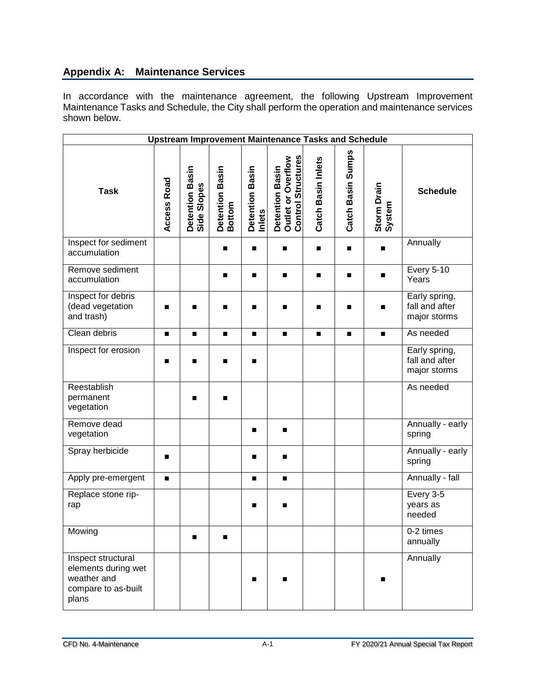### **Appendix A: Maintenance Services**

In accordance with the maintenance agreement, the following Upstream Improvement Maintenance Tasks and Schedule, the City shall perform the operation and maintenance services shown below.

| <b>Upstream Improvement Maintenance Tasks and Schedule</b>                               |                |                                |                           |                           |                                                                    |                    |                   |                       |                                                 |  |
|------------------------------------------------------------------------------------------|----------------|--------------------------------|---------------------------|---------------------------|--------------------------------------------------------------------|--------------------|-------------------|-----------------------|-------------------------------------------------|--|
| <b>Task</b>                                                                              | Access Road    | Detention Basin<br>Side Slopes | Detention Basin<br>Bottom | Detention Basin<br>Inlets | <b>Control Structures</b><br>Detention Basin<br>Outlet or Overflow | Catch Basin Inlets | Catch Basin Sumps | Storm Drain<br>System | <b>Schedule</b>                                 |  |
| Inspect for sediment<br>accumulation                                                     |                |                                | ■                         | п                         | $\blacksquare$                                                     | $\blacksquare$     | ■                 |                       | Annually                                        |  |
| Remove sediment<br>accumulation                                                          |                |                                | ■                         | п                         | $\blacksquare$                                                     | ■                  | ■                 | п                     | <b>Every 5-10</b><br>Years                      |  |
| Inspect for debris<br>(dead vegetation<br>and trash)                                     | ■              | Г                              |                           | п                         | ■                                                                  |                    |                   | ■                     | Early spring,<br>fall and after<br>major storms |  |
| Clean debris                                                                             |                | ■                              | п                         | п                         | $\blacksquare$                                                     | $\blacksquare$     | $\blacksquare$    | $\blacksquare$        | As needed                                       |  |
| Inspect for erosion                                                                      | ■              | ▬                              | ■                         | ■                         |                                                                    |                    |                   |                       | Early spring,<br>fall and after<br>major storms |  |
| Reestablish<br>permanent<br>vegetation                                                   |                | ■                              | ■                         |                           |                                                                    |                    |                   |                       | As needed                                       |  |
| Remove dead<br>vegetation                                                                |                |                                |                           | п                         | п                                                                  |                    |                   |                       | Annually - early<br>spring                      |  |
| Spray herbicide                                                                          |                |                                |                           | п                         | $\blacksquare$                                                     |                    |                   |                       | Annually - early<br>spring                      |  |
| Apply pre-emergent                                                                       | $\blacksquare$ |                                |                           | $\blacksquare$            | $\blacksquare$                                                     |                    |                   |                       | Annually - fall                                 |  |
| Replace stone rip-<br>rap                                                                |                |                                |                           | п                         | ▬                                                                  |                    |                   |                       | Every $3-5$<br>years as<br>needed               |  |
| Mowing                                                                                   |                | $\blacksquare$                 | ▬                         |                           |                                                                    |                    |                   |                       | 0-2 times<br>annually                           |  |
| Inspect structural<br>elements during wet<br>weather and<br>compare to as-built<br>plans |                |                                |                           | п                         |                                                                    |                    |                   |                       | Annually                                        |  |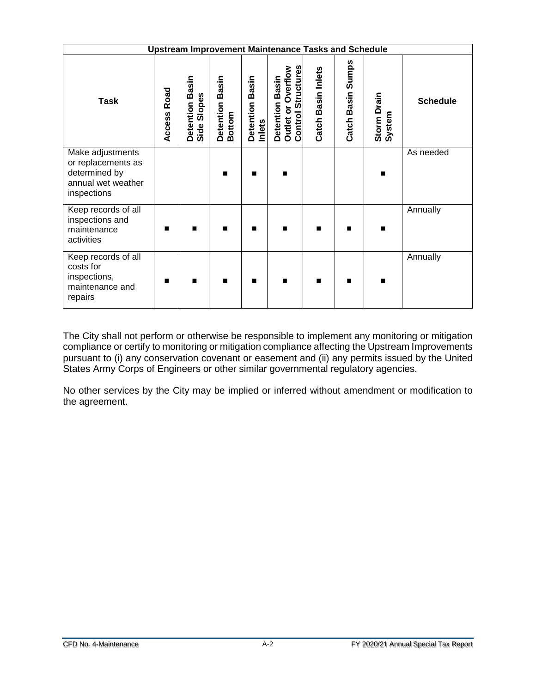| <b>Upstream Improvement Maintenance Tasks and Schedule</b>                                   |                |                                   |                                     |                           |                                                                    |                    |                   |                       |                 |
|----------------------------------------------------------------------------------------------|----------------|-----------------------------------|-------------------------------------|---------------------------|--------------------------------------------------------------------|--------------------|-------------------|-----------------------|-----------------|
| <b>Task</b>                                                                                  | Road<br>Access | Basin<br>Side Slopes<br>Detention | Basin<br>Detention<br><b>Bottom</b> | Detention Basin<br>Inlets | <b>Control Structures</b><br>Detention Basin<br>Outlet or Overflow | Catch Basin Inlets | Catch Basin Sumps | Storm Drain<br>System | <b>Schedule</b> |
| Make adjustments<br>or replacements as<br>determined by<br>annual wet weather<br>inspections |                |                                   | п                                   | п                         | $\blacksquare$                                                     |                    |                   | ■                     | As needed       |
| Keep records of all<br>inspections and<br>maintenance<br>activities                          | ■              |                                   | п                                   | ▬                         | $\blacksquare$                                                     |                    |                   |                       | Annually        |
| Keep records of all<br>costs for<br>inspections,<br>maintenance and<br>repairs               | ■              | ▬                                 | п                                   | п                         | $\blacksquare$                                                     | $\blacksquare$     | ■                 | ▬                     | Annually        |

The City shall not perform or otherwise be responsible to implement any monitoring or mitigation compliance or certify to monitoring or mitigation compliance affecting the Upstream Improvements pursuant to (i) any conservation covenant or easement and (ii) any permits issued by the United States Army Corps of Engineers or other similar governmental regulatory agencies.

No other services by the City may be implied or inferred without amendment or modification to the agreement.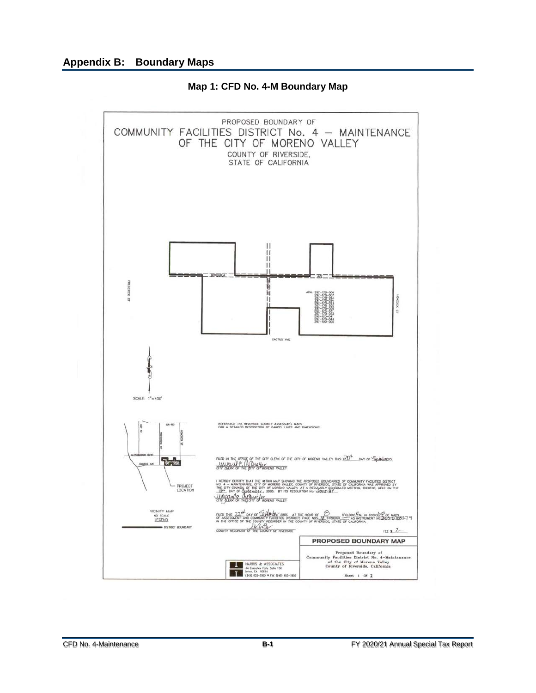<span id="page-15-0"></span>

**Map 1: CFD No. 4-M Boundary Map**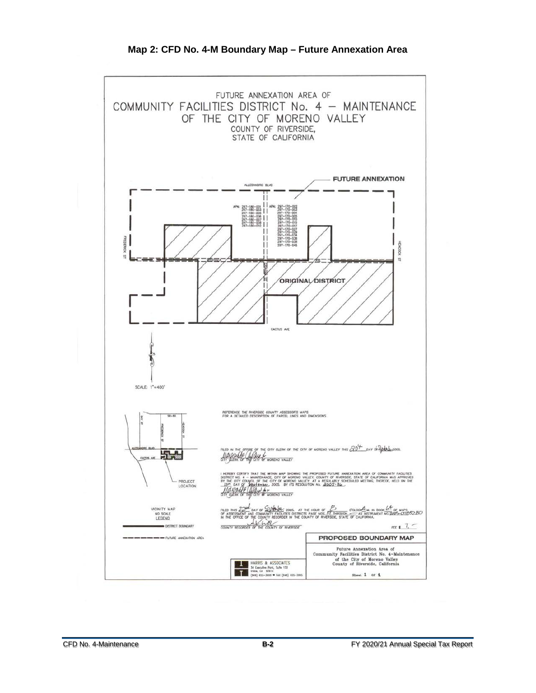<span id="page-16-0"></span>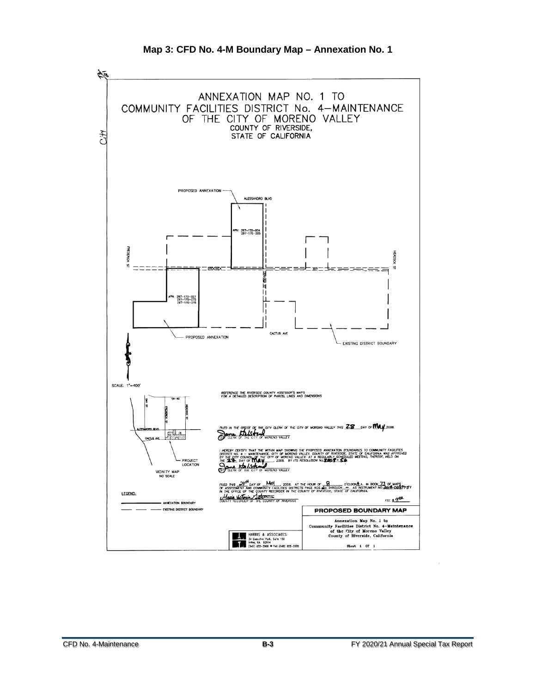<span id="page-17-0"></span>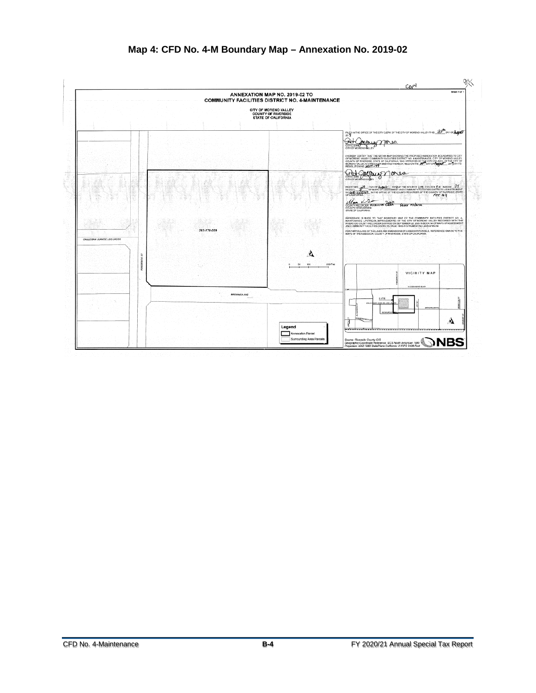<span id="page-18-0"></span>

### **Map 4: CFD No. 4-M Boundary Map – Annexation No. 2019-02**